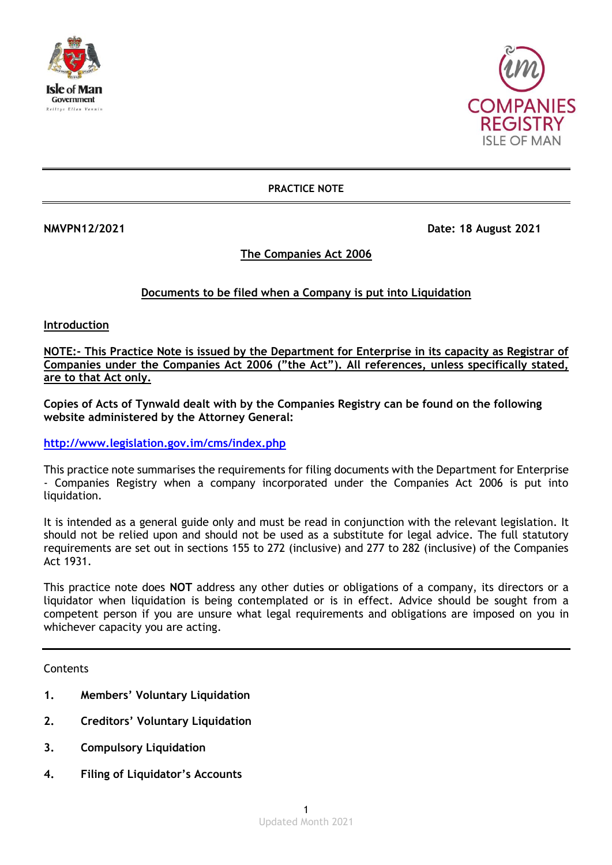



**PRACTICE NOTE**

**NMVPN12/2021 Date: 18 August 2021** 

# **The Companies Act 2006**

# **Documents to be filed when a Company is put into Liquidation**

**Introduction**

**NOTE:- This Practice Note is issued by the Department for Enterprise in its capacity as Registrar of Companies under the Companies Act 2006 ("the Act"). All references, unless specifically stated, are to that Act only.**

**Copies of Acts of Tynwald dealt with by the Companies Registry can be found on the following website administered by the Attorney General:**

**<http://www.legislation.gov.im/cms/index.php>**

This practice note summarises the requirements for filing documents with the Department for Enterprise - Companies Registry when a company incorporated under the Companies Act 2006 is put into liquidation.

It is intended as a general guide only and must be read in conjunction with the relevant legislation. It should not be relied upon and should not be used as a substitute for legal advice. The full statutory requirements are set out in sections 155 to 272 (inclusive) and 277 to 282 (inclusive) of the Companies Act 1931.

This practice note does **NOT** address any other duties or obligations of a company, its directors or a liquidator when liquidation is being contemplated or is in effect. Advice should be sought from a competent person if you are unsure what legal requirements and obligations are imposed on you in whichever capacity you are acting.

Contents

- **1. Members' Voluntary Liquidation**
- **2. Creditors' Voluntary Liquidation**
- **3. Compulsory Liquidation**
- **4. Filing of Liquidator's Accounts**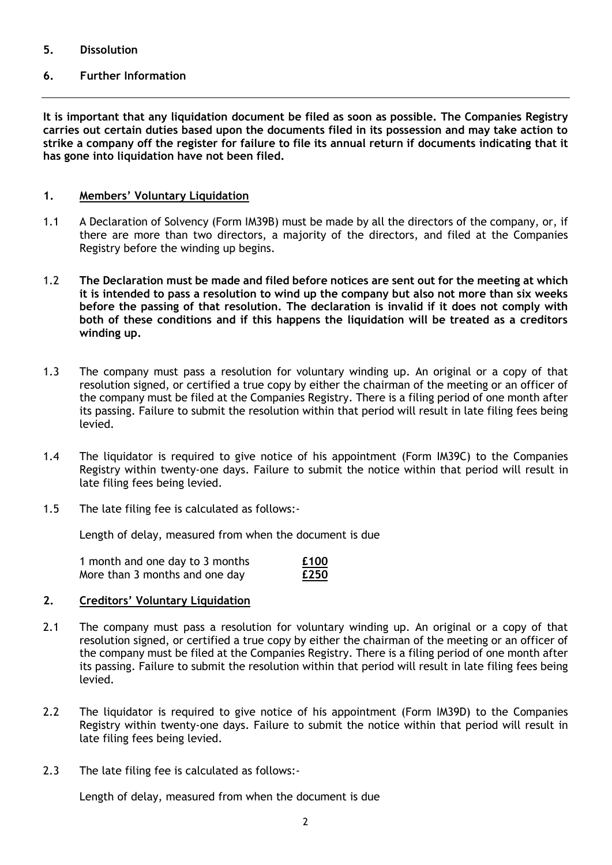## **5. Dissolution**

# **6. Further Information**

**It is important that any liquidation document be filed as soon as possible. The Companies Registry carries out certain duties based upon the documents filed in its possession and may take action to strike a company off the register for failure to file its annual return if documents indicating that it has gone into liquidation have not been filed.**

## **1. Members' Voluntary Liquidation**

- 1.1 A Declaration of Solvency (Form IM39B) must be made by all the directors of the company, or, if there are more than two directors, a majority of the directors, and filed at the Companies Registry before the winding up begins.
- 1.2 **The Declaration must be made and filed before notices are sent out for the meeting at which it is intended to pass a resolution to wind up the company but also not more than six weeks before the passing of that resolution. The declaration is invalid if it does not comply with both of these conditions and if this happens the liquidation will be treated as a creditors winding up.**
- 1.3 The company must pass a resolution for voluntary winding up. An original or a copy of that resolution signed, or certified a true copy by either the chairman of the meeting or an officer of the company must be filed at the Companies Registry. There is a filing period of one month after its passing. Failure to submit the resolution within that period will result in late filing fees being levied.
- 1.4 The liquidator is required to give notice of his appointment (Form IM39C) to the Companies Registry within twenty-one days. Failure to submit the notice within that period will result in late filing fees being levied.
- 1.5 The late filing fee is calculated as follows:-

Length of delay, measured from when the document is due

| 1 month and one day to 3 months | £100 |
|---------------------------------|------|
| More than 3 months and one day  | £250 |

# **2. Creditors' Voluntary Liquidation**

- 2.1 The company must pass a resolution for voluntary winding up. An original or a copy of that resolution signed, or certified a true copy by either the chairman of the meeting or an officer of the company must be filed at the Companies Registry. There is a filing period of one month after its passing. Failure to submit the resolution within that period will result in late filing fees being levied.
- 2.2 The liquidator is required to give notice of his appointment (Form IM39D) to the Companies Registry within twenty-one days. Failure to submit the notice within that period will result in late filing fees being levied.
- 2.3 The late filing fee is calculated as follows:-

Length of delay, measured from when the document is due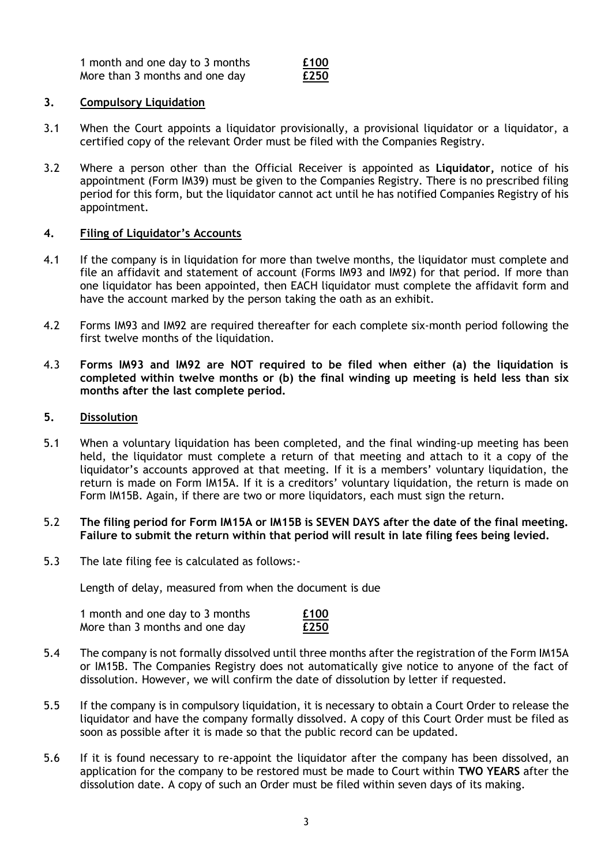1 month and one day to 3 months **£100** More than 3 months and one day **£250**

### **3. Compulsory Liquidation**

- 3.1 When the Court appoints a liquidator provisionally, a provisional liquidator or a liquidator, a certified copy of the relevant Order must be filed with the Companies Registry.
- 3.2 Where a person other than the Official Receiver is appointed as **Liquidator,** notice of his appointment (Form IM39) must be given to the Companies Registry. There is no prescribed filing period for this form, but the liquidator cannot act until he has notified Companies Registry of his appointment.

## **4. Filing of Liquidator's Accounts**

- 4.1 If the company is in liquidation for more than twelve months, the liquidator must complete and file an affidavit and statement of account (Forms IM93 and IM92) for that period. If more than one liquidator has been appointed, then EACH liquidator must complete the affidavit form and have the account marked by the person taking the oath as an exhibit.
- 4.2 Forms IM93 and IM92 are required thereafter for each complete six-month period following the first twelve months of the liquidation.
- 4.3 **Forms IM93 and IM92 are NOT required to be filed when either (a) the liquidation is completed within twelve months or (b) the final winding up meeting is held less than six months after the last complete period.**

#### **5. Dissolution**

5.1 When a voluntary liquidation has been completed, and the final winding-up meeting has been held, the liquidator must complete a return of that meeting and attach to it a copy of the liquidator's accounts approved at that meeting. If it is a members' voluntary liquidation, the return is made on Form IM15A. If it is a creditors' voluntary liquidation, the return is made on Form IM15B. Again, if there are two or more liquidators, each must sign the return.

### 5.2 **The filing period for Form IM15A or IM15B is SEVEN DAYS after the date of the final meeting. Failure to submit the return within that period will result in late filing fees being levied.**

5.3 The late filing fee is calculated as follows:-

Length of delay, measured from when the document is due

| 1 month and one day to 3 months | £100 |
|---------------------------------|------|
| More than 3 months and one day  | £250 |

- 5.4 The company is not formally dissolved until three months after the registration of the Form IM15A or IM15B. The Companies Registry does not automatically give notice to anyone of the fact of dissolution. However, we will confirm the date of dissolution by letter if requested.
- 5.5 If the company is in compulsory liquidation, it is necessary to obtain a Court Order to release the liquidator and have the company formally dissolved. A copy of this Court Order must be filed as soon as possible after it is made so that the public record can be updated.
- 5.6 If it is found necessary to re-appoint the liquidator after the company has been dissolved, an application for the company to be restored must be made to Court within **TWO YEARS** after the dissolution date. A copy of such an Order must be filed within seven days of its making.